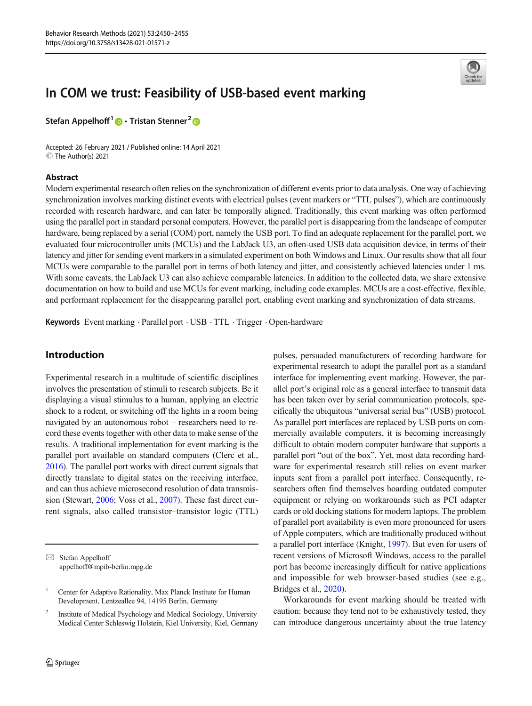# In COM we trust: Feasibility of USB-based event marking

Stefan Appelhoff<sup>1</sup>  $\bullet$  Tristan Stenner<sup>2</sup>  $\bullet$ 

Accepted: 26 February 2021 / Published online: 14 April 2021  $\circledcirc$  The Author(s) 2021

### Abstract



Modern experimental research often relies on the synchronization of different events prior to data analysis. One way of achieving synchronization involves marking distinct events with electrical pulses (event markers or "TTL pulses"), which are continuously recorded with research hardware, and can later be temporally aligned. Traditionally, this event marking was often performed using the parallel port in standard personal computers. However, the parallel port is disappearing from the landscape of computer hardware, being replaced by a serial (COM) port, namely the USB port. To find an adequate replacement for the parallel port, we evaluated four microcontroller units (MCUs) and the LabJack U3, an often-used USB data acquisition device, in terms of their latency and jitter for sending event markers in a simulated experiment on both Windows and Linux. Our results show that all four MCUs were comparable to the parallel port in terms of both latency and jitter, and consistently achieved latencies under 1 ms. With some caveats, the LabJack U3 can also achieve comparable latencies. In addition to the collected data, we share extensive documentation on how to build and use MCUs for event marking, including code examples. MCUs are a cost-effective, flexible, and performant replacement for the disappearing parallel port, enabling event marking and synchronization of data streams.

Keywords Event marking · Parallel port · USB · TTL · Trigger · Open-hardware

## Introduction

Experimental research in a multitude of scientific disciplines involves the presentation of stimuli to research subjects. Be it displaying a visual stimulus to a human, applying an electric shock to a rodent, or switching off the lights in a room being navigated by an autonomous robot – researchers need to record these events together with other data to make sense of the results. A traditional implementation for event marking is the parallel port available on standard computers (Clerc et al., [2016\)](#page-5-0). The parallel port works with direct current signals that directly translate to digital states on the receiving interface, and can thus achieve microsecond resolution of data transmission (Stewart, [2006](#page-5-0); Voss et al., [2007](#page-5-0)). These fast direct current signals, also called transistor–transistor logic (TTL)

 $\boxtimes$  Stefan Appelhoff [appelhoff@mpib-berlin.mpg.de](mailto:appelhoff@mpib-berlin.mpg.de) pulses, persuaded manufacturers of recording hardware for experimental research to adopt the parallel port as a standard interface for implementing event marking. However, the parallel port's original role as a general interface to transmit data has been taken over by serial communication protocols, specifically the ubiquitous "universal serial bus" (USB) protocol. As parallel port interfaces are replaced by USB ports on commercially available computers, it is becoming increasingly difficult to obtain modern computer hardware that supports a parallel port "out of the box". Yet, most data recording hardware for experimental research still relies on event marker inputs sent from a parallel port interface. Consequently, researchers often find themselves hoarding outdated computer equipment or relying on workarounds such as PCI adapter cards or old docking stations for modern laptops. The problem of parallel port availability is even more pronounced for users of Apple computers, which are traditionally produced without a parallel port interface (Knight, [1997\)](#page-5-0). But even for users of recent versions of Microsoft Windows, access to the parallel port has become increasingly difficult for native applications and impossible for web browser-based studies (see e.g., Bridges et al., [2020](#page-5-0)).

Workarounds for event marking should be treated with caution: because they tend not to be exhaustively tested, they can introduce dangerous uncertainty about the true latency

<sup>&</sup>lt;sup>1</sup> Center for Adaptive Rationality, Max Planck Institute for Human Development, Lentzeallee 94, 14195 Berlin, Germany

<sup>&</sup>lt;sup>2</sup> Institute of Medical Psychology and Medical Sociology, University Medical Center Schleswig Holstein, Kiel University, Kiel, Germany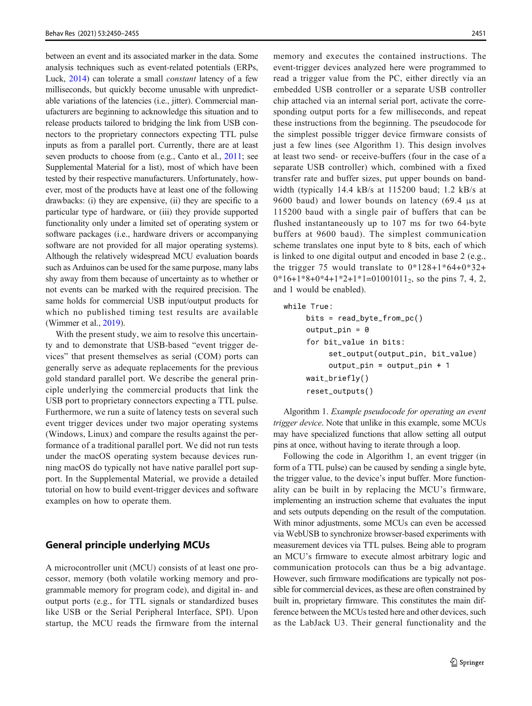between an event and its associated marker in the data. Some analysis techniques such as event-related potentials (ERPs, Luck, [2014\)](#page-5-0) can tolerate a small constant latency of a few milliseconds, but quickly become unusable with unpredictable variations of the latencies (i.e., jitter). Commercial manufacturers are beginning to acknowledge this situation and to release products tailored to bridging the link from USB connectors to the proprietary connectors expecting TTL pulse inputs as from a parallel port. Currently, there are at least seven products to choose from (e.g., Canto et al., [2011;](#page-5-0) see Supplemental Material for a list), most of which have been tested by their respective manufacturers. Unfortunately, however, most of the products have at least one of the following drawbacks: (i) they are expensive, (ii) they are specific to a particular type of hardware, or (iii) they provide supported functionality only under a limited set of operating system or software packages (i.e., hardware drivers or accompanying software are not provided for all major operating systems). Although the relatively widespread MCU evaluation boards such as Arduinos can be used for the same purpose, many labs shy away from them because of uncertainty as to whether or not events can be marked with the required precision. The same holds for commercial USB input/output products for which no published timing test results are available (Wimmer et al., [2019\)](#page-5-0).

With the present study, we aim to resolve this uncertainty and to demonstrate that USB-based "event trigger devices" that present themselves as serial (COM) ports can generally serve as adequate replacements for the previous gold standard parallel port. We describe the general principle underlying the commercial products that link the USB port to proprietary connectors expecting a TTL pulse. Furthermore, we run a suite of latency tests on several such event trigger devices under two major operating systems (Windows, Linux) and compare the results against the performance of a traditional parallel port. We did not run tests under the macOS operating system because devices running macOS do typically not have native parallel port support. In the Supplemental Material, we provide a detailed tutorial on how to build event-trigger devices and software examples on how to operate them.

## General principle underlying MCUs

A microcontroller unit (MCU) consists of at least one processor, memory (both volatile working memory and programmable memory for program code), and digital in- and output ports (e.g., for TTL signals or standardized buses like USB or the Serial Peripheral Interface, SPI). Upon startup, the MCU reads the firmware from the internal memory and executes the contained instructions. The event-trigger devices analyzed here were programmed to read a trigger value from the PC, either directly via an embedded USB controller or a separate USB controller chip attached via an internal serial port, activate the corresponding output ports for a few milliseconds, and repeat these instructions from the beginning. The pseudocode for the simplest possible trigger device firmware consists of just a few lines (see Algorithm 1). This design involves at least two send- or receive-buffers (four in the case of a separate USB controller) which, combined with a fixed transfer rate and buffer sizes, put upper bounds on bandwidth (typically 14.4 kB/s at 115200 baud; 1.2 kB/s at 9600 baud) and lower bounds on latency (69.4 μs at 115200 baud with a single pair of buffers that can be flushed instantaneously up to 107 ms for two 64-byte buffers at 9600 baud). The simplest communication scheme translates one input byte to 8 bits, each of which is linked to one digital output and encoded in base 2 (e.g., the trigger 75 would translate to  $0*128+1*64+0*32+$  $0*16+1*8+0*4+1*2+1*1=01001011_2$ , so the pins 7, 4, 2, and 1 would be enabled).

```
while True:
bits = read_byte_from_pc()output\_pin = 0for bit_value in bits:
     set_output(output_pin, bit_value)
     output\_pin = output\_pin + 1wait_briefly()
reset_outputs()
```
Algorithm 1. Example pseudocode for operating an event trigger device. Note that unlike in this example, some MCUs may have specialized functions that allow setting all output pins at once, without having to iterate through a loop.

Following the code in Algorithm 1, an event trigger (in form of a TTL pulse) can be caused by sending a single byte, the trigger value, to the device's input buffer. More functionality can be built in by replacing the MCU's firmware, implementing an instruction scheme that evaluates the input and sets outputs depending on the result of the computation. With minor adjustments, some MCUs can even be accessed via WebUSB to synchronize browser-based experiments with measurement devices via TTL pulses. Being able to program an MCU's firmware to execute almost arbitrary logic and communication protocols can thus be a big advantage. However, such firmware modifications are typically not possible for commercial devices, as these are often constrained by built in, proprietary firmware. This constitutes the main difference between the MCUs tested here and other devices, such as the LabJack U3. Their general functionality and the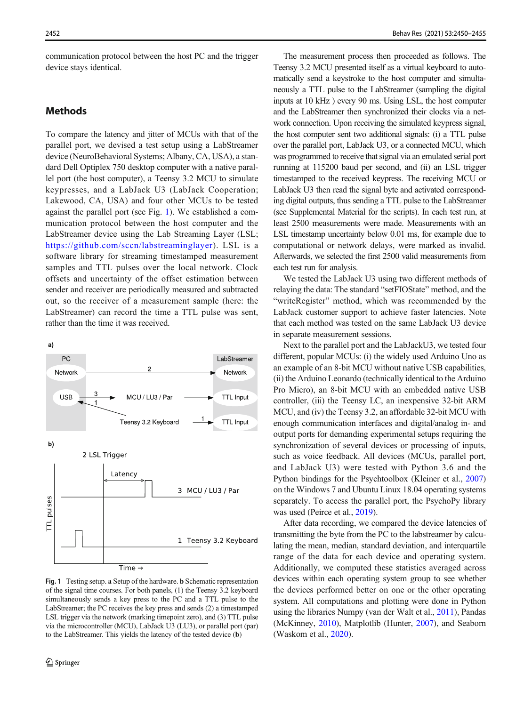<span id="page-2-0"></span>communication protocol between the host PC and the trigger device stays identical.

## **Methods**

To compare the latency and jitter of MCUs with that of the parallel port, we devised a test setup using a LabStreamer device (NeuroBehavioral Systems; Albany, CA, USA), a standard Dell Optiplex 750 desktop computer with a native parallel port (the host computer), a Teensy 3.2 MCU to simulate keypresses, and a LabJack U3 (LabJack Cooperation; Lakewood, CA, USA) and four other MCUs to be tested against the parallel port (see Fig. 1). We established a communication protocol between the host computer and the LabStreamer device using the Lab Streaming Layer (LSL; <https://github.com/sccn/labstreaminglayer>). LSL is a software library for streaming timestamped measurement samples and TTL pulses over the local network. Clock offsets and uncertainty of the offset estimation between sender and receiver are periodically measured and subtracted out, so the receiver of a measurement sample (here: the LabStreamer) can record the time a TTL pulse was sent, rather than the time it was received.

 $a)$ PC LabStreamer  $\overline{2}$ Network Network **USB** MCU / LU3 / Pa **TTL Input** TTL Input Teensy 3.2 Keyboard b) 2 LSL Trigger Latency 3 MCU / LU3 / Par TTL pulses 1 Teensy 3.2 Keyboard  $Time -$ 

Fig. 1 Testing setup. a Setup of the hardware. b Schematic representation of the signal time courses. For both panels, (1) the Teensy 3.2 keyboard simultaneously sends a key press to the PC and a TTL pulse to the LabStreamer; the PC receives the key press and sends (2) a timestamped LSL trigger via the network (marking timepoint zero), and (3) TTL pulse via the microcontroller (MCU), LabJack U3 (LU3), or parallel port (par) to the LabStreamer. This yields the latency of the tested device (b)

The measurement process then proceeded as follows. The Teensy 3.2 MCU presented itself as a virtual keyboard to automatically send a keystroke to the host computer and simultaneously a TTL pulse to the LabStreamer (sampling the digital inputs at 10 kHz ) every 90 ms. Using LSL, the host computer and the LabStreamer then synchronized their clocks via a network connection. Upon receiving the simulated keypress signal, the host computer sent two additional signals: (i) a TTL pulse over the parallel port, LabJack U3, or a connected MCU, which was programmed to receive that signal via an emulated serial port running at 115200 baud per second, and (ii) an LSL trigger timestamped to the received keypress. The receiving MCU or LabJack U3 then read the signal byte and activated corresponding digital outputs, thus sending a TTL pulse to the LabStreamer (see Supplemental Material for the scripts). In each test run, at least 2500 measurements were made. Measurements with an LSL timestamp uncertainty below 0.01 ms, for example due to computational or network delays, were marked as invalid. Afterwards, we selected the first 2500 valid measurements from each test run for analysis.

We tested the LabJack U3 using two different methods of relaying the data: The standard "setFIOState" method, and the "writeRegister" method, which was recommended by the LabJack customer support to achieve faster latencies. Note that each method was tested on the same LabJack U3 device in separate measurement sessions.

Next to the parallel port and the LabJackU3, we tested four different, popular MCUs: (i) the widely used Arduino Uno as an example of an 8-bit MCU without native USB capabilities, (ii) the Arduino Leonardo (technically identical to the Arduino Pro Micro), an 8-bit MCU with an embedded native USB controller, (iii) the Teensy LC, an inexpensive 32-bit ARM MCU, and (iv) the Teensy 3.2, an affordable 32-bit MCU with enough communication interfaces and digital/analog in- and output ports for demanding experimental setups requiring the synchronization of several devices or processing of inputs, such as voice feedback. All devices (MCUs, parallel port, and LabJack U3) were tested with Python 3.6 and the Python bindings for the Psychtoolbox (Kleiner et al., [2007](#page-5-0)) on the Windows 7 and Ubuntu Linux 18.04 operating systems separately. To access the parallel port, the PsychoPy library was used (Peirce et al., [2019\)](#page-5-0).

After data recording, we compared the device latencies of transmitting the byte from the PC to the labstreamer by calculating the mean, median, standard deviation, and interquartile range of the data for each device and operating system. Additionally, we computed these statistics averaged across devices within each operating system group to see whether the devices performed better on one or the other operating system. All computations and plotting were done in Python using the libraries Numpy (van der Walt et al., [2011\)](#page-5-0), Pandas (McKinney, [2010](#page-5-0)), Matplotlib (Hunter, [2007\)](#page-5-0), and Seaborn (Waskom et al., [2020](#page-5-0)).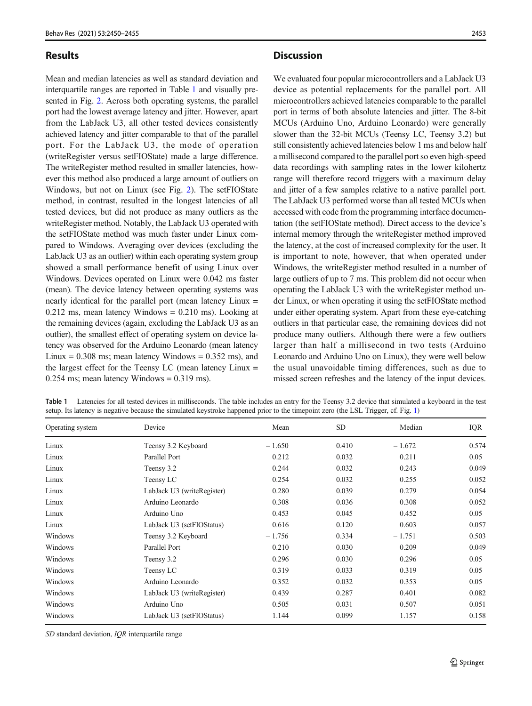## <span id="page-3-0"></span>Results

Mean and median latencies as well as standard deviation and interquartile ranges are reported in Table 1 and visually presented in Fig. [2](#page-4-0). Across both operating systems, the parallel port had the lowest average latency and jitter. However, apart from the LabJack U3, all other tested devices consistently achieved latency and jitter comparable to that of the parallel port. For the LabJack U3, the mode of operation (writeRegister versus setFIOState) made a large difference. The writeRegister method resulted in smaller latencies, however this method also produced a large amount of outliers on Windows, but not on Linux (see Fig. [2\)](#page-4-0). The setFIOState method, in contrast, resulted in the longest latencies of all tested devices, but did not produce as many outliers as the writeRegister method. Notably, the LabJack U3 operated with the setFIOState method was much faster under Linux compared to Windows. Averaging over devices (excluding the LabJack U3 as an outlier) within each operating system group showed a small performance benefit of using Linux over Windows. Devices operated on Linux were 0.042 ms faster (mean). The device latency between operating systems was nearly identical for the parallel port (mean latency Linux =  $0.212$  ms, mean latency Windows =  $0.210$  ms). Looking at the remaining devices (again, excluding the LabJack U3 as an outlier), the smallest effect of operating system on device latency was observed for the Arduino Leonardo (mean latency Linux =  $0.308$  ms; mean latency Windows =  $0.352$  ms), and the largest effect for the Teensy LC (mean latency Linux =  $0.254$  ms; mean latency Windows =  $0.319$  ms).

## **Discussion**

We evaluated four popular microcontrollers and a LabJack U3 device as potential replacements for the parallel port. All microcontrollers achieved latencies comparable to the parallel port in terms of both absolute latencies and jitter. The 8-bit MCUs (Arduino Uno, Arduino Leonardo) were generally slower than the 32-bit MCUs (Teensy LC, Teensy 3.2) but still consistently achieved latencies below 1 ms and below half a millisecond compared to the parallel port so even high-speed data recordings with sampling rates in the lower kilohertz range will therefore record triggers with a maximum delay and jitter of a few samples relative to a native parallel port. The LabJack U3 performed worse than all tested MCUs when accessed with code from the programming interface documentation (the setFIOState method). Direct access to the device's internal memory through the writeRegister method improved the latency, at the cost of increased complexity for the user. It is important to note, however, that when operated under Windows, the writeRegister method resulted in a number of large outliers of up to 7 ms. This problem did not occur when operating the LabJack U3 with the writeRegister method under Linux, or when operating it using the setFIOState method under either operating system. Apart from these eye-catching outliers in that particular case, the remaining devices did not produce many outliers. Although there were a few outliers larger than half a millisecond in two tests (Arduino Leonardo and Arduino Uno on Linux), they were well below the usual unavoidable timing differences, such as due to missed screen refreshes and the latency of the input devices.

| Table 1 | Latencies for all tested devices in milliseconds. The table includes an entry for the Teensy 3.2 device that simulated a keyboard in the test |
|---------|-----------------------------------------------------------------------------------------------------------------------------------------------|
|         | setup. Its latency is negative because the simulated keystroke happened prior to the timepoint zero (the LSL Trigger, cf. Fig. 1)             |

| Operating system | Device                     | Mean     | <b>SD</b> | Median   | IQR   |
|------------------|----------------------------|----------|-----------|----------|-------|
| Linux            | Teensy 3.2 Keyboard        | $-1.650$ | 0.410     | $-1.672$ | 0.574 |
| Linux            | Parallel Port              | 0.212    | 0.032     | 0.211    | 0.05  |
| Linux            | Teensy 3.2                 | 0.244    | 0.032     | 0.243    | 0.049 |
| Linux            | Teensy LC                  | 0.254    | 0.032     | 0.255    | 0.052 |
| Linux            | LabJack U3 (writeRegister) | 0.280    | 0.039     | 0.279    | 0.054 |
| Linux            | Arduino Leonardo           | 0.308    | 0.036     | 0.308    | 0.052 |
| Linux            | Arduino Uno                | 0.453    | 0.045     | 0.452    | 0.05  |
| Linux            | LabJack U3 (setFIOStatus)  | 0.616    | 0.120     | 0.603    | 0.057 |
| Windows          | Teensy 3.2 Keyboard        | $-1.756$ | 0.334     | $-1.751$ | 0.503 |
| Windows          | Parallel Port              | 0.210    | 0.030     | 0.209    | 0.049 |
| Windows          | Teensy 3.2                 | 0.296    | 0.030     | 0.296    | 0.05  |
| Windows          | Teensy LC                  | 0.319    | 0.033     | 0.319    | 0.05  |
| Windows          | Arduino Leonardo           | 0.352    | 0.032     | 0.353    | 0.05  |
| Windows          | LabJack U3 (writeRegister) | 0.439    | 0.287     | 0.401    | 0.082 |
| Windows          | Arduino Uno                | 0.505    | 0.031     | 0.507    | 0.051 |
| Windows          | LabJack U3 (setFIOStatus)  | 1.144    | 0.099     | 1.157    | 0.158 |

SD standard deviation, IQR interquartile range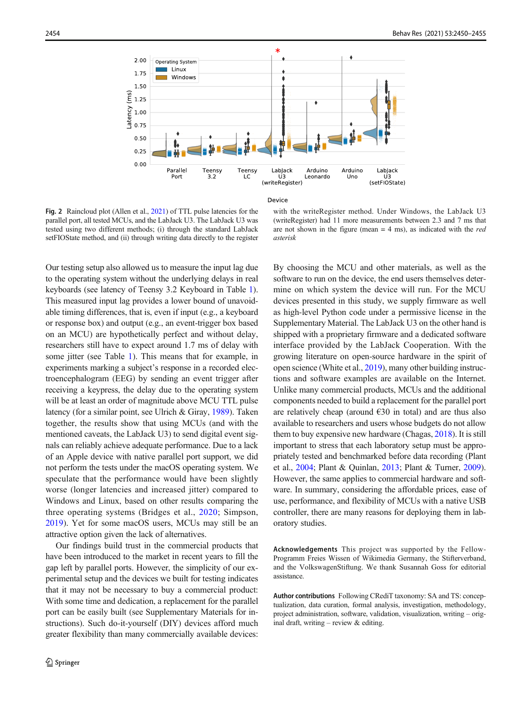<span id="page-4-0"></span>

Device

Fig. 2 Raincloud plot (Allen et al., [2021\)](#page-5-0) of TTL pulse latencies for the parallel port, all tested MCUs, and the LabJack U3. The LabJack U3 was tested using two different methods; (i) through the standard LabJack setFIOState method, and (ii) through writing data directly to the register

with the writeRegister method. Under Windows, the LabJack U3 (writeRegister) had 11 more measurements between 2.3 and 7 ms that are not shown in the figure (mean  $= 4$  ms), as indicated with the *red* asterisk

Our testing setup also allowed us to measure the input lag due to the operating system without the underlying delays in real keyboards (see latency of Teensy 3.2 Keyboard in Table [1\)](#page-3-0). This measured input lag provides a lower bound of unavoidable timing differences, that is, even if input (e.g., a keyboard or response box) and output (e.g., an event-trigger box based on an MCU) are hypothetically perfect and without delay, researchers still have to expect around 1.7 ms of delay with some jitter (see Table [1](#page-3-0)). This means that for example, in experiments marking a subject's response in a recorded electroencephalogram (EEG) by sending an event trigger after receiving a keypress, the delay due to the operating system will be at least an order of magnitude above MCU TTL pulse latency (for a similar point, see Ulrich & Giray, [1989\)](#page-5-0). Taken together, the results show that using MCUs (and with the mentioned caveats, the LabJack U3) to send digital event signals can reliably achieve adequate performance. Due to a lack of an Apple device with native parallel port support, we did not perform the tests under the macOS operating system. We speculate that the performance would have been slightly worse (longer latencies and increased jitter) compared to Windows and Linux, based on other results comparing the three operating systems (Bridges et al., [2020;](#page-5-0) Simpson, [2019\)](#page-5-0). Yet for some macOS users, MCUs may still be an attractive option given the lack of alternatives.

Our findings build trust in the commercial products that have been introduced to the market in recent years to fill the gap left by parallel ports. However, the simplicity of our experimental setup and the devices we built for testing indicates that it may not be necessary to buy a commercial product: With some time and dedication, a replacement for the parallel port can be easily built (see Supplementary Materials for instructions). Such do-it-yourself (DIY) devices afford much greater flexibility than many commercially available devices: By choosing the MCU and other materials, as well as the software to run on the device, the end users themselves determine on which system the device will run. For the MCU devices presented in this study, we supply firmware as well as high-level Python code under a permissive license in the Supplementary Material. The LabJack U3 on the other hand is shipped with a proprietary firmware and a dedicated software interface provided by the LabJack Cooperation. With the growing literature on open-source hardware in the spirit of open science (White et al., [2019\)](#page-5-0), many other building instructions and software examples are available on the Internet. Unlike many commercial products, MCUs and the additional components needed to build a replacement for the parallel port are relatively cheap (around  $\epsilon$ 30 in total) and are thus also available to researchers and users whose budgets do not allow them to buy expensive new hardware (Chagas, [2018](#page-5-0)). It is still important to stress that each laboratory setup must be appropriately tested and benchmarked before data recording (Plant et al., [2004;](#page-5-0) Plant & Quinlan, [2013](#page-5-0); Plant & Turner, [2009\)](#page-5-0). However, the same applies to commercial hardware and software. In summary, considering the affordable prices, ease of use, performance, and flexibility of MCUs with a native USB controller, there are many reasons for deploying them in laboratory studies.

Acknowledgements This project was supported by the Fellow-Programm Freies Wissen of Wikimedia Germany, the Stifterverband, and the VolkswagenStiftung. We thank Susannah Goss for editorial assistance.

Author contributions Following CRediT taxonomy: SA and TS: conceptualization, data curation, formal analysis, investigation, methodology, project administration, software, validation, visualization, writing – original draft, writing – review & editing.